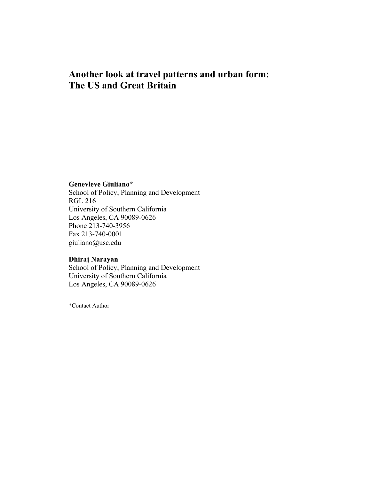# **Another look at travel patterns and urban form: The US and Great Britain**

# **Genevieve Giuliano\***

School of Policy, Planning and Development RGL 216 University of Southern California Los Angeles, CA 90089-0626 Phone 213-740-3956 Fax 213-740-0001 giuliano@usc.edu

# **Dhiraj Narayan**

School of Policy, Planning and Development University of Southern California Los Angeles, CA 90089-0626

\*Contact Author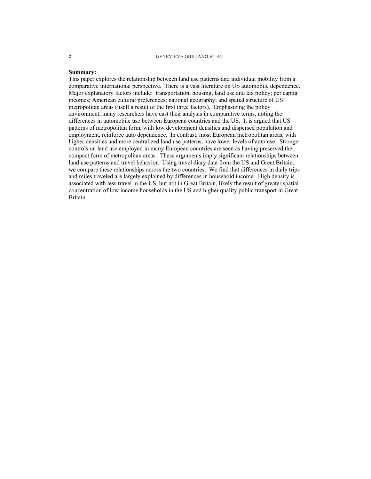#### **Summary:**

This paper explores the relationship between land use patterns and individual mobility from a comparative international perspective. There is a vast literature on US automobile dependence. Major explanatory factors include: transportation, housing, land use and tax policy; per capita incomes; American cultural preferences; national geography; and spatial structure of US metropolitan areas (itself a result of the first three factors). Emphasizing the policy environment, many researchers have cast their analysis in comparative terms, noting the differences in automobile use between European countries and the US. It is argued that US patterns of metropolitan form, with low development densities and dispersed population and employment, reinforce auto dependence. In contrast, most European metropolitan areas, with higher densities and more centralized land use patterns, have lower levels of auto use. Stronger controls on land use employed in many European countries are seen as having preserved the compact form of metropolitan areas. These arguments imply significant relationships between land use patterns and travel behavior. Using travel diary data from the US and Great Britain, we compare these relationships across the two countries. We find that differences in daily trips and miles traveled are largely explained by differences in household income. High density is associated with less travel in the US, but not in Great Britain, likely the result of greater spatial concentration of low income households in the US and higher quality public transport in Great Britain.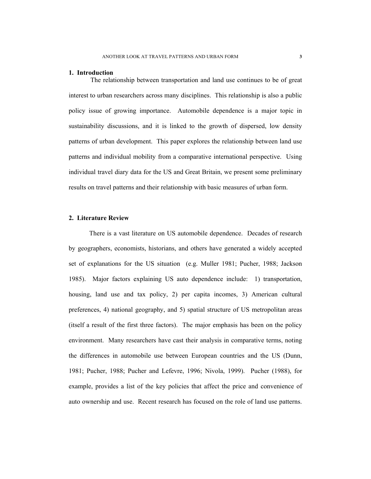#### **1. Introduction**

The relationship between transportation and land use continues to be of great interest to urban researchers across many disciplines. This relationship is also a public policy issue of growing importance. Automobile dependence is a major topic in sustainability discussions, and it is linked to the growth of dispersed, low density patterns of urban development. This paper explores the relationship between land use patterns and individual mobility from a comparative international perspective. Using individual travel diary data for the US and Great Britain, we present some preliminary results on travel patterns and their relationship with basic measures of urban form.

# **2. Literature Review**

There is a vast literature on US automobile dependence. Decades of research by geographers, economists, historians, and others have generated a widely accepted set of explanations for the US situation (e.g. Muller 1981; Pucher, 1988; Jackson 1985). Major factors explaining US auto dependence include: 1) transportation, housing, land use and tax policy, 2) per capita incomes, 3) American cultural preferences, 4) national geography, and 5) spatial structure of US metropolitan areas (itself a result of the first three factors). The major emphasis has been on the policy environment. Many researchers have cast their analysis in comparative terms, noting the differences in automobile use between European countries and the US (Dunn, 1981; Pucher, 1988; Pucher and Lefevre, 1996; Nivola, 1999). Pucher (1988), for example, provides a list of the key policies that affect the price and convenience of auto ownership and use. Recent research has focused on the role of land use patterns.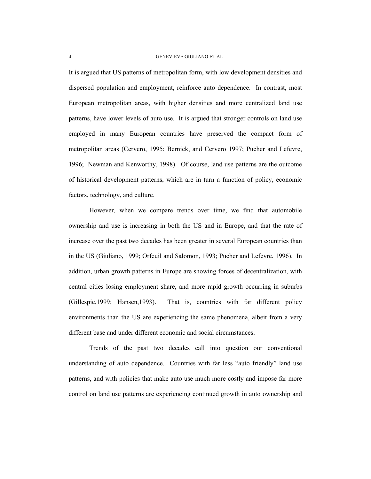It is argued that US patterns of metropolitan form, with low development densities and dispersed population and employment, reinforce auto dependence. In contrast, most European metropolitan areas, with higher densities and more centralized land use patterns, have lower levels of auto use. It is argued that stronger controls on land use employed in many European countries have preserved the compact form of metropolitan areas (Cervero, 1995; Bernick, and Cervero 1997; Pucher and Lefevre, 1996; Newman and Kenworthy, 1998). Of course, land use patterns are the outcome of historical development patterns, which are in turn a function of policy, economic factors, technology, and culture.

However, when we compare trends over time, we find that automobile ownership and use is increasing in both the US and in Europe, and that the rate of increase over the past two decades has been greater in several European countries than in the US (Giuliano, 1999; Orfeuil and Salomon, 1993; Pucher and Lefevre, 1996). In addition, urban growth patterns in Europe are showing forces of decentralization, with central cities losing employment share, and more rapid growth occurring in suburbs (Gillespie,1999; Hansen,1993). That is, countries with far different policy environments than the US are experiencing the same phenomena, albeit from a very different base and under different economic and social circumstances.

Trends of the past two decades call into question our conventional understanding of auto dependence. Countries with far less "auto friendly" land use patterns, and with policies that make auto use much more costly and impose far more control on land use patterns are experiencing continued growth in auto ownership and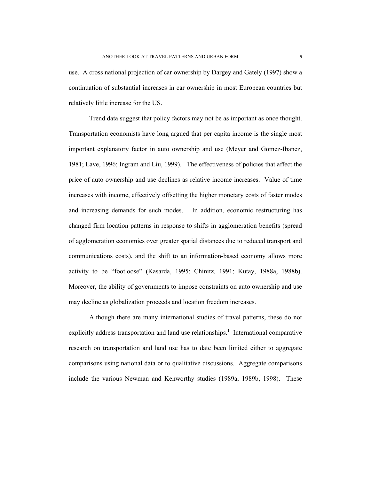use. A cross national projection of car ownership by Dargey and Gately (1997) show a continuation of substantial increases in car ownership in most European countries but relatively little increase for the US.

Trend data suggest that policy factors may not be as important as once thought. Transportation economists have long argued that per capita income is the single most important explanatory factor in auto ownership and use (Meyer and Gomez-Ibanez, 1981; Lave, 1996; Ingram and Liu, 1999). The effectiveness of policies that affect the price of auto ownership and use declines as relative income increases. Value of time increases with income, effectively offsetting the higher monetary costs of faster modes and increasing demands for such modes. In addition, economic restructuring has changed firm location patterns in response to shifts in agglomeration benefits (spread of agglomeration economies over greater spatial distances due to reduced transport and communications costs), and the shift to an information-based economy allows more activity to be "footloose" (Kasarda, 1995; Chinitz, 1991; Kutay, 1988a, 1988b). Moreover, the ability of governments to impose constraints on auto ownership and use may decline as globalization proceeds and location freedom increases.

Although there are many international studies of travel patterns, these do not explicitly address transportation and land use relationships.<sup>1</sup> International comparative research on transportation and land use has to date been limited either to aggregate comparisons using national data or to qualitative discussions. Aggregate comparisons include the various Newman and Kenworthy studies (1989a, 1989b, 1998). These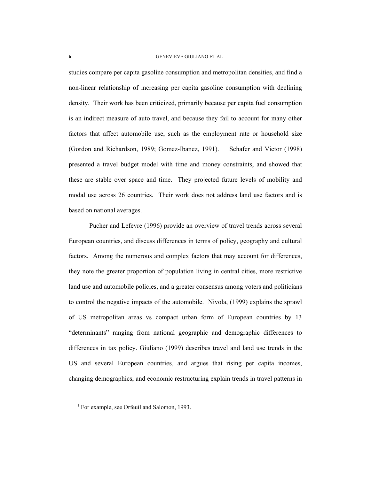studies compare per capita gasoline consumption and metropolitan densities, and find a non-linear relationship of increasing per capita gasoline consumption with declining density. Their work has been criticized, primarily because per capita fuel consumption is an indirect measure of auto travel, and because they fail to account for many other factors that affect automobile use, such as the employment rate or household size (Gordon and Richardson, 1989; Gomez-Ibanez, 1991). Schafer and Victor (1998) presented a travel budget model with time and money constraints, and showed that these are stable over space and time. They projected future levels of mobility and modal use across 26 countries. Their work does not address land use factors and is based on national averages.

Pucher and Lefevre (1996) provide an overview of travel trends across several European countries, and discuss differences in terms of policy, geography and cultural factors. Among the numerous and complex factors that may account for differences, they note the greater proportion of population living in central cities, more restrictive land use and automobile policies, and a greater consensus among voters and politicians to control the negative impacts of the automobile. Nivola, (1999) explains the sprawl of US metropolitan areas vs compact urban form of European countries by 13 "determinants" ranging from national geographic and demographic differences to differences in tax policy. Giuliano (1999) describes travel and land use trends in the US and several European countries, and argues that rising per capita incomes, changing demographics, and economic restructuring explain trends in travel patterns in

<sup>&</sup>lt;sup>1</sup> For example, see Orfeuil and Salomon, 1993.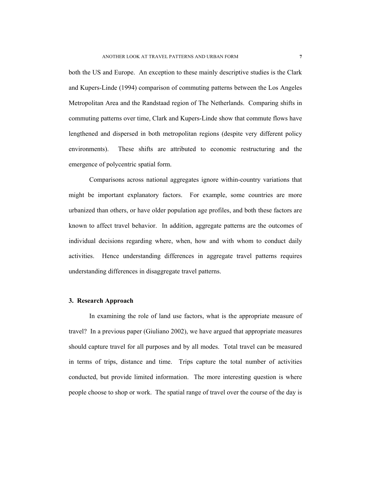both the US and Europe. An exception to these mainly descriptive studies is the Clark and Kupers-Linde (1994) comparison of commuting patterns between the Los Angeles Metropolitan Area and the Randstaad region of The Netherlands. Comparing shifts in commuting patterns over time, Clark and Kupers-Linde show that commute flows have lengthened and dispersed in both metropolitan regions (despite very different policy environments). These shifts are attributed to economic restructuring and the emergence of polycentric spatial form.

Comparisons across national aggregates ignore within-country variations that might be important explanatory factors. For example, some countries are more urbanized than others, or have older population age profiles, and both these factors are known to affect travel behavior. In addition, aggregate patterns are the outcomes of individual decisions regarding where, when, how and with whom to conduct daily activities. Hence understanding differences in aggregate travel patterns requires understanding differences in disaggregate travel patterns.

### **3. Research Approach**

In examining the role of land use factors, what is the appropriate measure of travel? In a previous paper (Giuliano 2002), we have argued that appropriate measures should capture travel for all purposes and by all modes. Total travel can be measured in terms of trips, distance and time. Trips capture the total number of activities conducted, but provide limited information. The more interesting question is where people choose to shop or work. The spatial range of travel over the course of the day is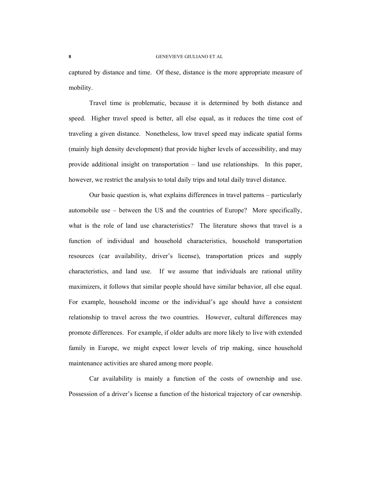captured by distance and time. Of these, distance is the more appropriate measure of mobility.

Travel time is problematic, because it is determined by both distance and speed. Higher travel speed is better, all else equal, as it reduces the time cost of traveling a given distance. Nonetheless, low travel speed may indicate spatial forms (mainly high density development) that provide higher levels of accessibility, and may provide additional insight on transportation – land use relationships. In this paper, however, we restrict the analysis to total daily trips and total daily travel distance.

Our basic question is, what explains differences in travel patterns – particularly automobile use – between the US and the countries of Europe? More specifically, what is the role of land use characteristics? The literature shows that travel is a function of individual and household characteristics, household transportation resources (car availability, driver's license), transportation prices and supply characteristics, and land use. If we assume that individuals are rational utility maximizers, it follows that similar people should have similar behavior, all else equal. For example, household income or the individual's age should have a consistent relationship to travel across the two countries. However, cultural differences may promote differences. For example, if older adults are more likely to live with extended family in Europe, we might expect lower levels of trip making, since household maintenance activities are shared among more people.

Car availability is mainly a function of the costs of ownership and use. Possession of a driver's license a function of the historical trajectory of car ownership.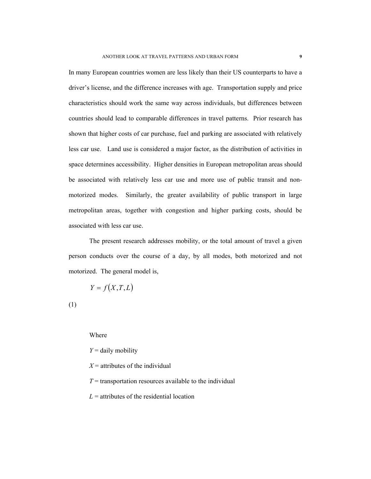In many European countries women are less likely than their US counterparts to have a driver's license, and the difference increases with age. Transportation supply and price characteristics should work the same way across individuals, but differences between countries should lead to comparable differences in travel patterns. Prior research has shown that higher costs of car purchase, fuel and parking are associated with relatively less car use. Land use is considered a major factor, as the distribution of activities in space determines accessibility. Higher densities in European metropolitan areas should be associated with relatively less car use and more use of public transit and nonmotorized modes. Similarly, the greater availability of public transport in large metropolitan areas, together with congestion and higher parking costs, should be associated with less car use.

The present research addresses mobility, or the total amount of travel a given person conducts over the course of a day, by all modes, both motorized and not motorized. The general model is,

$$
Y = f(X, T, L)
$$

(1)

Where

*Y* = daily mobility

 $X =$  attributes of the individual

 $T =$  transportation resources available to the individual

 $L =$  attributes of the residential location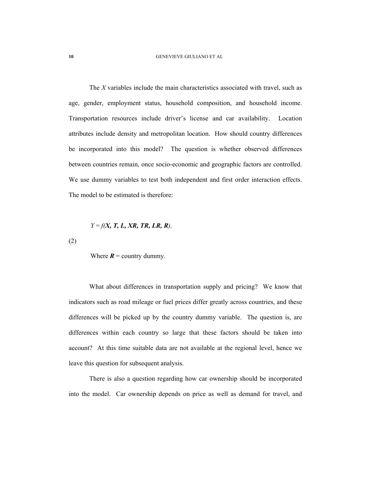The *X* variables include the main characteristics associated with travel, such as age, gender, employment status, household composition, and household income. Transportation resources include driver's license and car availability. Location attributes include density and metropolitan location. How should country differences be incorporated into this model? The question is whether observed differences between countries remain, once socio-economic and geographic factors are controlled. We use dummy variables to test both independent and first order interaction effects. The model to be estimated is therefore:

# *Y* = *f(X, T, L, XR, TR, LR, R),*

(2)

Where  $R =$  country dummy.

What about differences in transportation supply and pricing? We know that indicators such as road mileage or fuel prices differ greatly across countries, and these differences will be picked up by the country dummy variable. The question is, are differences within each country so large that these factors should be taken into account? At this time suitable data are not available at the regional level, hence we leave this question for subsequent analysis.

There is also a question regarding how car ownership should be incorporated into the model. Car ownership depends on price as well as demand for travel, and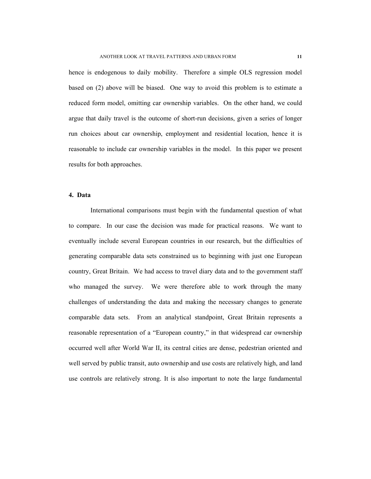hence is endogenous to daily mobility. Therefore a simple OLS regression model based on (2) above will be biased. One way to avoid this problem is to estimate a reduced form model, omitting car ownership variables. On the other hand, we could argue that daily travel is the outcome of short-run decisions, given a series of longer run choices about car ownership, employment and residential location, hence it is reasonable to include car ownership variables in the model. In this paper we present results for both approaches.

#### **4. Data**

International comparisons must begin with the fundamental question of what to compare. In our case the decision was made for practical reasons. We want to eventually include several European countries in our research, but the difficulties of generating comparable data sets constrained us to beginning with just one European country, Great Britain. We had access to travel diary data and to the government staff who managed the survey. We were therefore able to work through the many challenges of understanding the data and making the necessary changes to generate comparable data sets. From an analytical standpoint, Great Britain represents a reasonable representation of a "European country," in that widespread car ownership occurred well after World War II, its central cities are dense, pedestrian oriented and well served by public transit, auto ownership and use costs are relatively high, and land use controls are relatively strong. It is also important to note the large fundamental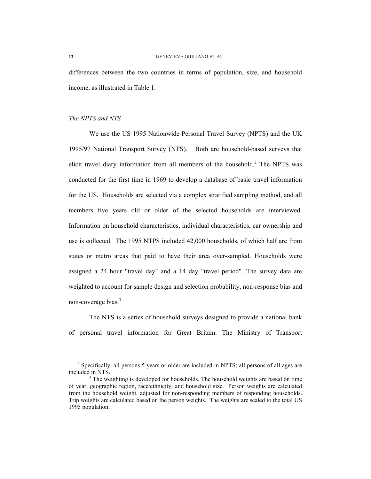differences between the two countries in terms of population, size, and household income, as illustrated in Table 1.

# *The NPTS and NTS*

We use the US 1995 Nationwide Personal Travel Survey (NPTS) and the UK 1995/97 National Transport Survey (NTS). Both are household-based surveys that elicit travel diary information from all members of the household.<sup>2</sup> The NPTS was conducted for the first time in 1969 to develop a database of basic travel information for the US. Households are selected via a complex stratified sampling method, and all members five years old or older of the selected households are interviewed. Information on household characteristics, individual characteristics, car ownership and use is collected. The 1995 NTPS included 42,000 households, of which half are from states or metro areas that paid to have their area over-sampled. Households were assigned a 24 hour "travel day" and a 14 day "travel period". The survey data are weighted to account for sample design and selection probability, non-response bias and non-coverage bias.<sup>3</sup>

The NTS is a series of household surveys designed to provide a national bank of personal travel information for Great Britain. The Ministry of Transport

<sup>&</sup>lt;sup>2</sup> Specifically, all persons 5 years or older are included in NPTS; all persons of all ages are included in NTS.

<sup>&</sup>lt;sup>3</sup> The weighting is developed for households. The household weights are based on time of year, geographic region, race/ethnicity, and household size. Person weights are calculated from the household weight, adjusted for non-responding members of responding households. Trip weights are calculated based on the person weights. The weights are scaled to the total US 1995 population.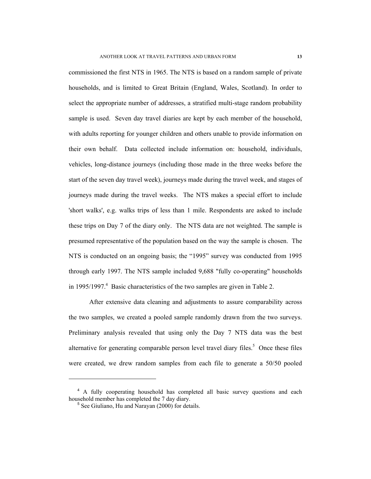commissioned the first NTS in 1965. The NTS is based on a random sample of private households, and is limited to Great Britain (England, Wales, Scotland). In order to select the appropriate number of addresses, a stratified multi-stage random probability sample is used. Seven day travel diaries are kept by each member of the household, with adults reporting for younger children and others unable to provide information on their own behalf. Data collected include information on: household, individuals, vehicles, long-distance journeys (including those made in the three weeks before the start of the seven day travel week), journeys made during the travel week, and stages of journeys made during the travel weeks. The NTS makes a special effort to include 'short walks', e.g. walks trips of less than 1 mile. Respondents are asked to include these trips on Day 7 of the diary only. The NTS data are not weighted. The sample is presumed representative of the population based on the way the sample is chosen. The NTS is conducted on an ongoing basis; the "1995" survey was conducted from 1995 through early 1997. The NTS sample included 9,688 "fully co-operating" households in 1995/1997.<sup>4</sup> Basic characteristics of the two samples are given in Table 2.

After extensive data cleaning and adjustments to assure comparability across the two samples, we created a pooled sample randomly drawn from the two surveys. Preliminary analysis revealed that using only the Day 7 NTS data was the best alternative for generating comparable person level travel diary files.<sup>5</sup> Once these files were created, we drew random samples from each file to generate a 50/50 pooled

<sup>&</sup>lt;sup>4</sup> A fully cooperating household has completed all basic survey questions and each household member has completed the 7 day diary.

<sup>5</sup> See Giuliano, Hu and Narayan (2000) for details.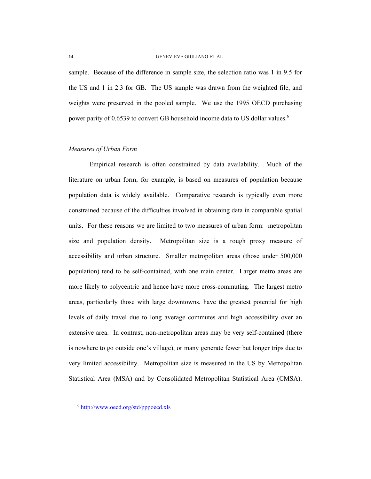sample. Because of the difference in sample size, the selection ratio was 1 in 9.5 for the US and 1 in 2.3 for GB. The US sample was drawn from the weighted file, and weights were preserved in the pooled sample. We use the 1995 OECD purchasing power parity of 0.6539 to convert GB household income data to US dollar values.<sup>6</sup>

# *Measures of Urban Form*

Empirical research is often constrained by data availability. Much of the literature on urban form, for example, is based on measures of population because population data is widely available. Comparative research is typically even more constrained because of the difficulties involved in obtaining data in comparable spatial units. For these reasons we are limited to two measures of urban form: metropolitan size and population density. Metropolitan size is a rough proxy measure of accessibility and urban structure. Smaller metropolitan areas (those under 500,000 population) tend to be self-contained, with one main center. Larger metro areas are more likely to polycentric and hence have more cross-commuting. The largest metro areas, particularly those with large downtowns, have the greatest potential for high levels of daily travel due to long average commutes and high accessibility over an extensive area. In contrast, non-metropolitan areas may be very self-contained (there is nowhere to go outside one's village), or many generate fewer but longer trips due to very limited accessibility. Metropolitan size is measured in the US by Metropolitan Statistical Area (MSA) and by Consolidated Metropolitan Statistical Area (CMSA).

<sup>6</sup> http://www.oecd.org/std/pppoecd.xls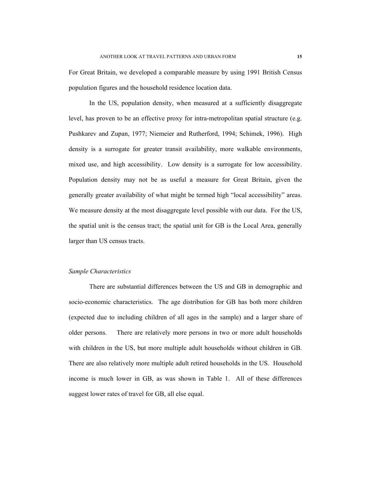For Great Britain, we developed a comparable measure by using 1991 British Census population figures and the household residence location data.

In the US, population density, when measured at a sufficiently disaggregate level, has proven to be an effective proxy for intra-metropolitan spatial structure (e.g. Pushkarev and Zupan, 1977; Niemeier and Rutherford, 1994; Schimek, 1996). High density is a surrogate for greater transit availability, more walkable environments, mixed use, and high accessibility. Low density is a surrogate for low accessibility. Population density may not be as useful a measure for Great Britain, given the generally greater availability of what might be termed high "local accessibility" areas. We measure density at the most disaggregate level possible with our data. For the US, the spatial unit is the census tract; the spatial unit for GB is the Local Area, generally larger than US census tracts.

# *Sample Characteristics*

There are substantial differences between the US and GB in demographic and socio-economic characteristics. The age distribution for GB has both more children (expected due to including children of all ages in the sample) and a larger share of older persons. There are relatively more persons in two or more adult households with children in the US, but more multiple adult households without children in GB. There are also relatively more multiple adult retired households in the US. Household income is much lower in GB, as was shown in Table 1. All of these differences suggest lower rates of travel for GB, all else equal.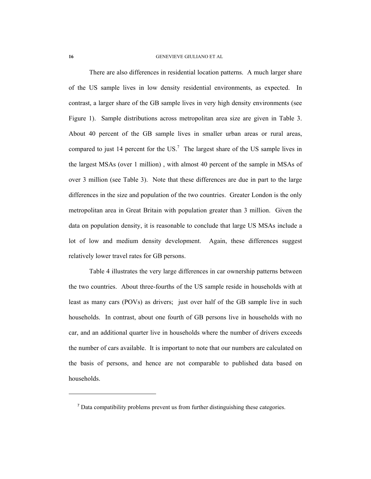There are also differences in residential location patterns. A much larger share of the US sample lives in low density residential environments, as expected. In contrast, a larger share of the GB sample lives in very high density environments (see Figure 1). Sample distributions across metropolitan area size are given in Table 3. About 40 percent of the GB sample lives in smaller urban areas or rural areas, compared to just 14 percent for the  $US$ <sup>7</sup>. The largest share of the US sample lives in the largest MSAs (over 1 million) , with almost 40 percent of the sample in MSAs of over 3 million (see Table 3). Note that these differences are due in part to the large differences in the size and population of the two countries. Greater London is the only metropolitan area in Great Britain with population greater than 3 million. Given the data on population density, it is reasonable to conclude that large US MSAs include a lot of low and medium density development. Again, these differences suggest relatively lower travel rates for GB persons.

Table 4 illustrates the very large differences in car ownership patterns between the two countries. About three-fourths of the US sample reside in households with at least as many cars (POVs) as drivers; just over half of the GB sample live in such households. In contrast, about one fourth of GB persons live in households with no car, and an additional quarter live in households where the number of drivers exceeds the number of cars available. It is important to note that our numbers are calculated on the basis of persons, and hence are not comparable to published data based on households.

<sup>7</sup> Data compatibility problems prevent us from further distinguishing these categories.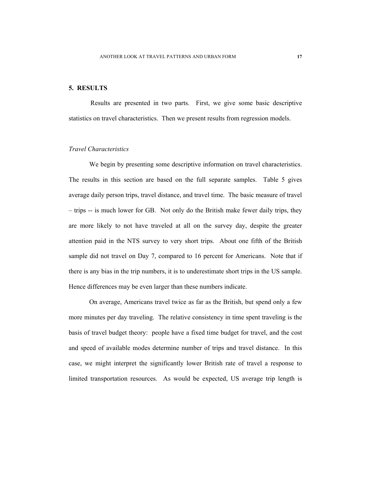# **5. RESULTS**

Results are presented in two parts. First, we give some basic descriptive statistics on travel characteristics. Then we present results from regression models.

# *Travel Characteristics*

We begin by presenting some descriptive information on travel characteristics. The results in this section are based on the full separate samples. Table 5 gives average daily person trips, travel distance, and travel time. The basic measure of travel – trips -- is much lower for GB. Not only do the British make fewer daily trips, they are more likely to not have traveled at all on the survey day, despite the greater attention paid in the NTS survey to very short trips. About one fifth of the British sample did not travel on Day 7, compared to 16 percent for Americans. Note that if there is any bias in the trip numbers, it is to underestimate short trips in the US sample. Hence differences may be even larger than these numbers indicate.

On average, Americans travel twice as far as the British, but spend only a few more minutes per day traveling. The relative consistency in time spent traveling is the basis of travel budget theory: people have a fixed time budget for travel, and the cost and speed of available modes determine number of trips and travel distance. In this case, we might interpret the significantly lower British rate of travel a response to limited transportation resources. As would be expected, US average trip length is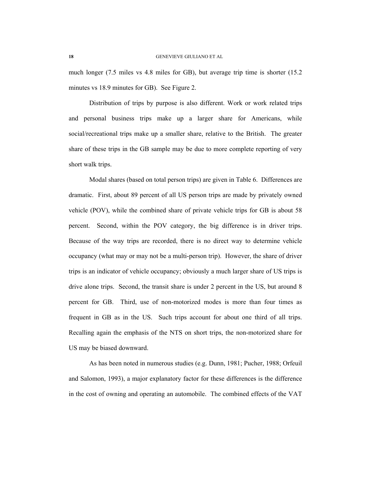much longer (7.5 miles vs 4.8 miles for GB), but average trip time is shorter (15.2 minutes vs 18.9 minutes for GB). See Figure 2.

Distribution of trips by purpose is also different. Work or work related trips and personal business trips make up a larger share for Americans, while social/recreational trips make up a smaller share, relative to the British. The greater share of these trips in the GB sample may be due to more complete reporting of very short walk trips.

Modal shares (based on total person trips) are given in Table 6. Differences are dramatic. First, about 89 percent of all US person trips are made by privately owned vehicle (POV), while the combined share of private vehicle trips for GB is about 58 percent. Second, within the POV category, the big difference is in driver trips. Because of the way trips are recorded, there is no direct way to determine vehicle occupancy (what may or may not be a multi-person trip). However, the share of driver trips is an indicator of vehicle occupancy; obviously a much larger share of US trips is drive alone trips. Second, the transit share is under 2 percent in the US, but around 8 percent for GB. Third, use of non-motorized modes is more than four times as frequent in GB as in the US. Such trips account for about one third of all trips. Recalling again the emphasis of the NTS on short trips, the non-motorized share for US may be biased downward.

As has been noted in numerous studies (e.g. Dunn, 1981; Pucher, 1988; Orfeuil and Salomon, 1993), a major explanatory factor for these differences is the difference in the cost of owning and operating an automobile. The combined effects of the VAT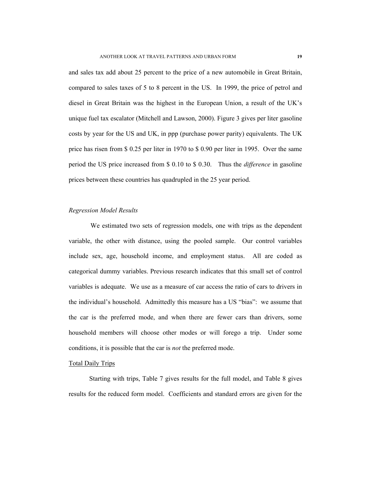and sales tax add about 25 percent to the price of a new automobile in Great Britain, compared to sales taxes of 5 to 8 percent in the US. In 1999, the price of petrol and diesel in Great Britain was the highest in the European Union, a result of the UK's unique fuel tax escalator (Mitchell and Lawson, 2000). Figure 3 gives per liter gasoline costs by year for the US and UK, in ppp (purchase power parity) equivalents. The UK price has risen from \$ 0.25 per liter in 1970 to \$ 0.90 per liter in 1995. Over the same period the US price increased from \$ 0.10 to \$ 0.30. Thus the *difference* in gasoline prices between these countries has quadrupled in the 25 year period.

# *Regression Model Results*

We estimated two sets of regression models, one with trips as the dependent variable, the other with distance, using the pooled sample. Our control variables include sex, age, household income, and employment status. All are coded as categorical dummy variables. Previous research indicates that this small set of control variables is adequate. We use as a measure of car access the ratio of cars to drivers in the individual's household. Admittedly this measure has a US "bias": we assume that the car is the preferred mode, and when there are fewer cars than drivers, some household members will choose other modes or will forego a trip. Under some conditions, it is possible that the car is *not* the preferred mode.

### Total Daily Trips

Starting with trips, Table 7 gives results for the full model, and Table 8 gives results for the reduced form model. Coefficients and standard errors are given for the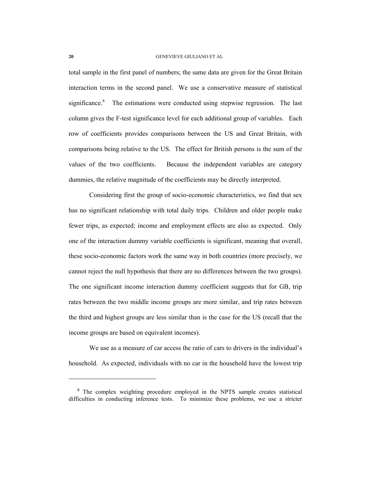total sample in the first panel of numbers; the same data are given for the Great Britain interaction terms in the second panel. We use a conservative measure of statistical significance.<sup>8</sup> The estimations were conducted using stepwise regression. The last column gives the F-test significance level for each additional group of variables. Each row of coefficients provides comparisons between the US and Great Britain, with comparisons being relative to the US. The effect for British persons is the sum of the values of the two coefficients. Because the independent variables are category dummies, the relative magnitude of the coefficients may be directly interpreted.

Considering first the group of socio-economic characteristics, we find that sex has no significant relationship with total daily trips. Children and older people make fewer trips, as expected; income and employment effects are also as expected. Only one of the interaction dummy variable coefficients is significant, meaning that overall, these socio-economic factors work the same way in both countries (more precisely, we cannot reject the null hypothesis that there are no differences between the two groups). The one significant income interaction dummy coefficient suggests that for GB, trip rates between the two middle income groups are more similar, and trip rates between the third and highest groups are less similar than is the case for the US (recall that the income groups are based on equivalent incomes).

We use as a measure of car access the ratio of cars to drivers in the individual's household. As expected, individuals with no car in the household have the lowest trip

<sup>&</sup>lt;sup>8</sup> The complex weighting procedure employed in the NPTS sample creates statistical difficulties in conducting inference tests. To minimize these problems, we use a stricter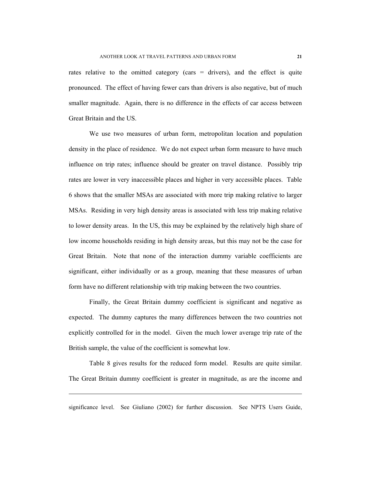rates relative to the omitted category (cars = drivers), and the effect is quite pronounced. The effect of having fewer cars than drivers is also negative, but of much smaller magnitude. Again, there is no difference in the effects of car access between Great Britain and the US.

We use two measures of urban form, metropolitan location and population density in the place of residence. We do not expect urban form measure to have much influence on trip rates; influence should be greater on travel distance. Possibly trip rates are lower in very inaccessible places and higher in very accessible places. Table 6 shows that the smaller MSAs are associated with more trip making relative to larger MSAs. Residing in very high density areas is associated with less trip making relative to lower density areas. In the US, this may be explained by the relatively high share of low income households residing in high density areas, but this may not be the case for Great Britain. Note that none of the interaction dummy variable coefficients are significant, either individually or as a group, meaning that these measures of urban form have no different relationship with trip making between the two countries.

Finally, the Great Britain dummy coefficient is significant and negative as expected. The dummy captures the many differences between the two countries not explicitly controlled for in the model. Given the much lower average trip rate of the British sample, the value of the coefficient is somewhat low.

Table 8 gives results for the reduced form model. Results are quite similar. The Great Britain dummy coefficient is greater in magnitude, as are the income and

significance level. See Giuliano (2002) for further discussion. See NPTS Users Guide,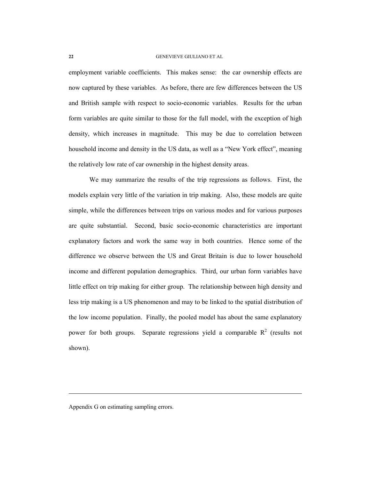employment variable coefficients. This makes sense: the car ownership effects are now captured by these variables. As before, there are few differences between the US and British sample with respect to socio-economic variables. Results for the urban form variables are quite similar to those for the full model, with the exception of high density, which increases in magnitude. This may be due to correlation between household income and density in the US data, as well as a "New York effect", meaning the relatively low rate of car ownership in the highest density areas.

We may summarize the results of the trip regressions as follows. First, the models explain very little of the variation in trip making. Also, these models are quite simple, while the differences between trips on various modes and for various purposes are quite substantial. Second, basic socio-economic characteristics are important explanatory factors and work the same way in both countries. Hence some of the difference we observe between the US and Great Britain is due to lower household income and different population demographics. Third, our urban form variables have little effect on trip making for either group. The relationship between high density and less trip making is a US phenomenon and may to be linked to the spatial distribution of the low income population. Finally, the pooled model has about the same explanatory power for both groups. Separate regressions yield a comparable  $R^2$  (results not shown).

Appendix G on estimating sampling errors.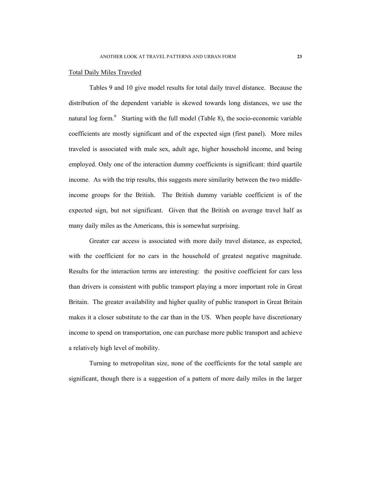### Total Daily Miles Traveled

Tables 9 and 10 give model results for total daily travel distance. Because the distribution of the dependent variable is skewed towards long distances, we use the natural log form. $9$  Starting with the full model (Table 8), the socio-economic variable coefficients are mostly significant and of the expected sign (first panel). More miles traveled is associated with male sex, adult age, higher household income, and being employed. Only one of the interaction dummy coefficients is significant: third quartile income. As with the trip results, this suggests more similarity between the two middleincome groups for the British. The British dummy variable coefficient is of the expected sign, but not significant. Given that the British on average travel half as many daily miles as the Americans, this is somewhat surprising.

Greater car access is associated with more daily travel distance, as expected, with the coefficient for no cars in the household of greatest negative magnitude. Results for the interaction terms are interesting: the positive coefficient for cars less than drivers is consistent with public transport playing a more important role in Great Britain. The greater availability and higher quality of public transport in Great Britain makes it a closer substitute to the car than in the US. When people have discretionary income to spend on transportation, one can purchase more public transport and achieve a relatively high level of mobility.

Turning to metropolitan size, none of the coefficients for the total sample are significant, though there is a suggestion of a pattern of more daily miles in the larger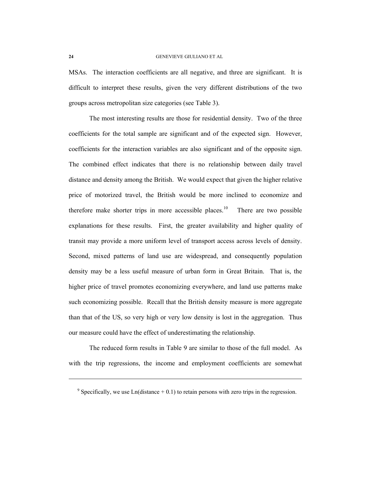MSAs. The interaction coefficients are all negative, and three are significant. It is difficult to interpret these results, given the very different distributions of the two groups across metropolitan size categories (see Table 3).

The most interesting results are those for residential density. Two of the three coefficients for the total sample are significant and of the expected sign. However, coefficients for the interaction variables are also significant and of the opposite sign. The combined effect indicates that there is no relationship between daily travel distance and density among the British. We would expect that given the higher relative price of motorized travel, the British would be more inclined to economize and therefore make shorter trips in more accessible places.<sup>10</sup> There are two possible explanations for these results. First, the greater availability and higher quality of transit may provide a more uniform level of transport access across levels of density. Second, mixed patterns of land use are widespread, and consequently population density may be a less useful measure of urban form in Great Britain. That is, the higher price of travel promotes economizing everywhere, and land use patterns make such economizing possible. Recall that the British density measure is more aggregate than that of the US, so very high or very low density is lost in the aggregation. Thus our measure could have the effect of underestimating the relationship.

The reduced form results in Table 9 are similar to those of the full model. As with the trip regressions, the income and employment coefficients are somewhat

<sup>&</sup>lt;sup>9</sup> Specifically, we use Ln(distance  $+ 0.1$ ) to retain persons with zero trips in the regression.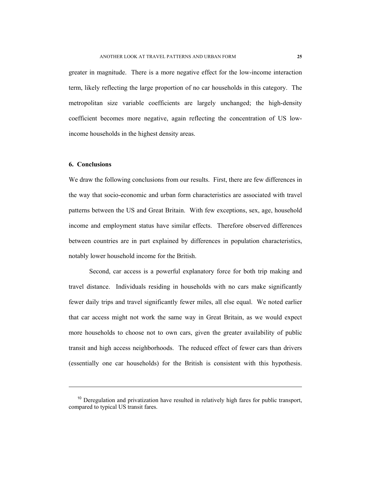greater in magnitude. There is a more negative effect for the low-income interaction term, likely reflecting the large proportion of no car households in this category. The metropolitan size variable coefficients are largely unchanged; the high-density coefficient becomes more negative, again reflecting the concentration of US lowincome households in the highest density areas.

### **6. Conclusions**

l

We draw the following conclusions from our results. First, there are few differences in the way that socio-economic and urban form characteristics are associated with travel patterns between the US and Great Britain. With few exceptions, sex, age, household income and employment status have similar effects. Therefore observed differences between countries are in part explained by differences in population characteristics, notably lower household income for the British.

Second, car access is a powerful explanatory force for both trip making and travel distance. Individuals residing in households with no cars make significantly fewer daily trips and travel significantly fewer miles, all else equal. We noted earlier that car access might not work the same way in Great Britain, as we would expect more households to choose not to own cars, given the greater availability of public transit and high access neighborhoods. The reduced effect of fewer cars than drivers (essentially one car households) for the British is consistent with this hypothesis.

 $10$  Deregulation and privatization have resulted in relatively high fares for public transport, compared to typical US transit fares.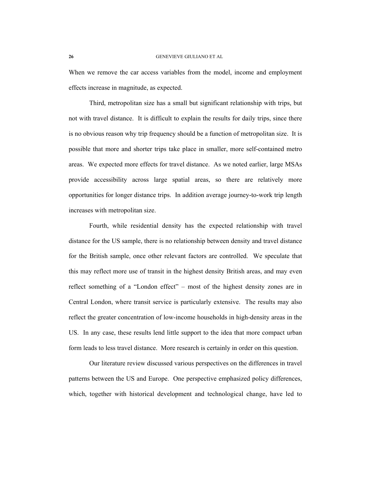When we remove the car access variables from the model, income and employment effects increase in magnitude, as expected.

Third, metropolitan size has a small but significant relationship with trips, but not with travel distance. It is difficult to explain the results for daily trips, since there is no obvious reason why trip frequency should be a function of metropolitan size. It is possible that more and shorter trips take place in smaller, more self-contained metro areas. We expected more effects for travel distance. As we noted earlier, large MSAs provide accessibility across large spatial areas, so there are relatively more opportunities for longer distance trips. In addition average journey-to-work trip length increases with metropolitan size.

Fourth, while residential density has the expected relationship with travel distance for the US sample, there is no relationship between density and travel distance for the British sample, once other relevant factors are controlled. We speculate that this may reflect more use of transit in the highest density British areas, and may even reflect something of a "London effect" – most of the highest density zones are in Central London, where transit service is particularly extensive. The results may also reflect the greater concentration of low-income households in high-density areas in the US. In any case, these results lend little support to the idea that more compact urban form leads to less travel distance. More research is certainly in order on this question.

Our literature review discussed various perspectives on the differences in travel patterns between the US and Europe. One perspective emphasized policy differences, which, together with historical development and technological change, have led to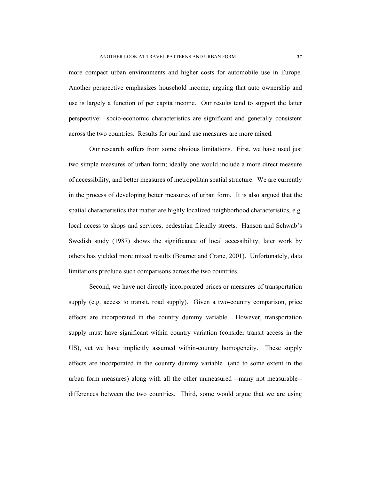more compact urban environments and higher costs for automobile use in Europe. Another perspective emphasizes household income, arguing that auto ownership and use is largely a function of per capita income. Our results tend to support the latter perspective: socio-economic characteristics are significant and generally consistent across the two countries. Results for our land use measures are more mixed.

Our research suffers from some obvious limitations. First, we have used just two simple measures of urban form; ideally one would include a more direct measure of accessibility, and better measures of metropolitan spatial structure. We are currently in the process of developing better measures of urban form. It is also argued that the spatial characteristics that matter are highly localized neighborhood characteristics, e.g. local access to shops and services, pedestrian friendly streets. Hanson and Schwab's Swedish study (1987) shows the significance of local accessibility; later work by others has yielded more mixed results (Boarnet and Crane, 2001). Unfortunately, data limitations preclude such comparisons across the two countries.

Second, we have not directly incorporated prices or measures of transportation supply (e.g. access to transit, road supply). Given a two-country comparison, price effects are incorporated in the country dummy variable. However, transportation supply must have significant within country variation (consider transit access in the US), yet we have implicitly assumed within-country homogeneity. These supply effects are incorporated in the country dummy variable (and to some extent in the urban form measures) along with all the other unmeasured --many not measurable- differences between the two countries. Third, some would argue that we are using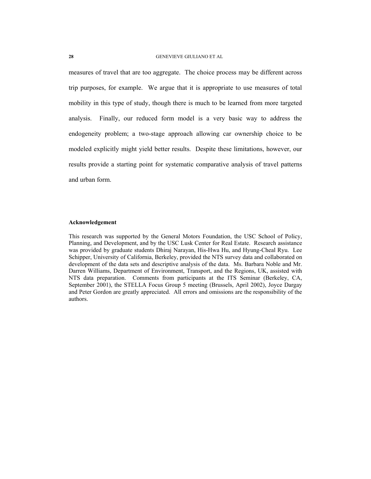measures of travel that are too aggregate. The choice process may be different across trip purposes, for example. We argue that it is appropriate to use measures of total mobility in this type of study, though there is much to be learned from more targeted analysis. Finally, our reduced form model is a very basic way to address the endogeneity problem; a two-stage approach allowing car ownership choice to be modeled explicitly might yield better results. Despite these limitations, however, our results provide a starting point for systematic comparative analysis of travel patterns and urban form.

# **Acknowledgement**

This research was supported by the General Motors Foundation, the USC School of Policy, Planning, and Development, and by the USC Lusk Center for Real Estate. Research assistance was provided by graduate students Dhiraj Narayan, His-Hwa Hu, and Hyung-Cheal Ryu. Lee Schipper, University of California, Berkeley, provided the NTS survey data and collaborated on development of the data sets and descriptive analysis of the data. Ms. Barbara Noble and Mr. Darren Williams, Department of Environment, Transport, and the Regions, UK, assisted with NTS data preparation. Comments from participants at the ITS Seminar (Berkeley, CA, September 2001), the STELLA Focus Group 5 meeting (Brussels, April 2002), Joyce Dargay and Peter Gordon are greatly appreciated. All errors and omissions are the responsibility of the authors.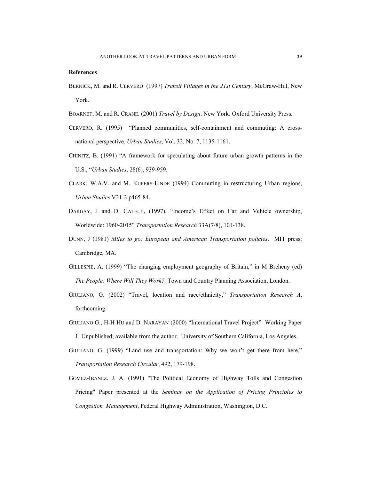#### **References**

- BERNICK, M. and R. CERVERO (1997) *Transit Villages in the 21st Century*, McGraw-Hill, New York.
- BOARNET, M. and R. CRANE. (2001) *Travel by Design*. New York: Oxford University Press.
- CERVERO, R. (1995) "Planned communities, self-containment and commuting: A crossnational perspective, *Urban Studies*, Vol. 32, No. 7, 1135-1161.
- CHINITZ, B. (1991) "A framework for speculating about future urban growth patterns in the U.S., "*Urban Studies*, 28(6), 939-959.
- CLARK, W.A.V. and M. KUPERS-LINDE (1994) Commuting in restructuring Urban regions, *Urban Studies* V31-3 p465-84.
- DARGAY, J and D. GATELY, (1997), "Income's Effect on Car and Vehicle ownership, Worldwide: 1960-2015" *Transportation Research* 33A(7/8), 101-138.
- DUNN, J (1981) *Miles to go: European and American Transportation policies*. MIT press: Cambridge, MA.
- GILLESPIE, A. (1999) "The changing employment geography of Britain," in M Breheny (ed) *The People: Where Will They Work?,* Town and Country Planning Association, London.
- GIULIANO, G. (2002) "Travel, location and race/ethnicity," *Transportation Research A*, forthcoming.
- GIULIANO G., H-H HU and D. NARAYAN (2000) "International Travel Project" Working Paper 1. Unpublished; available from the author. University of Southern California, Los Angeles.
- GIULIANO, G. (1999) "Land use and transportation: Why we won't get there from here," *Transportation Research Circular*, 492, 179-198.
- GOMEZ-IBANEZ, J. A. (1991) "The Political Economy of Highway Tolls and Congestion Pricing" Paper presented at the *Seminar on the Application of Pricing Principles to Congestion Management*, Federal Highway Administration, Washington, D.C.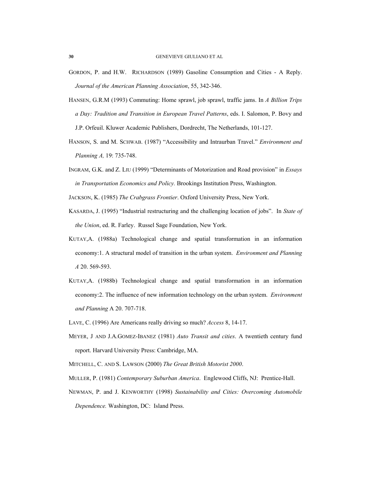- GORDON, P. and H.W. RICHARDSON (1989) Gasoline Consumption and Cities A Reply. *Journal of the American Planning Association*, 55, 342-346.
- HANSEN, G.R.M (1993) Commuting: Home sprawl, job sprawl, traffic jams. In *A Billion Trips a Day: Tradition and Transition in European Travel Patterns*, eds. I. Salomon, P. Bovy and J.P. Orfeuil. Kluwer Academic Publishers, Dordrecht, The Netherlands, 101-127.
- HANSON, S. and M. SCHWAB. (1987) "Accessibility and Intraurban Travel." *Environment and Planning A,* 19: 735-748.
- INGRAM, G.K. and Z. LIU (1999) "Determinants of Motorization and Road provision" in *Essays in Transportation Economics and Policy.* Brookings Institution Press, Washington.
- JACKSON, K. (1985) *The Crabgrass Frontier*. Oxford University Press, New York.
- KASARDA, J. (1995) "Industrial restructuring and the challenging location of jobs". In *State of the Union*, ed. R. Farley. Russel Sage Foundation, New York.
- KUTAY,A. (1988a) Technological change and spatial transformation in an information economy:1. A structural model of transition in the urban system. *Environment and Planning A* 20. 569-593.
- KUTAY,A. (1988b) Technological change and spatial transformation in an information economy:2. The influence of new information technology on the urban system. *Environment and Planning* A 20. 707-718.
- LAVE, C. (1996) Are Americans really driving so much? *Access* 8, 14-17.
- MEYER, J AND J.A.GOMEZ-IBANEZ (1981) *Auto Transit and cities*. A twentieth century fund report. Harvard University Press: Cambridge, MA.
- MITCHELL, C. AND S. LAWSON (2000) *The Great British Motorist 2000*.
- MULLER, P. (1981) *Contemporary Suburban America*. Englewood Cliffs, NJ: Prentice-Hall.
- NEWMAN, P. and J. KENWORTHY (1998) *Sustainability and Cities: Overcoming Automobile Dependence.* Washington, DC: Island Press.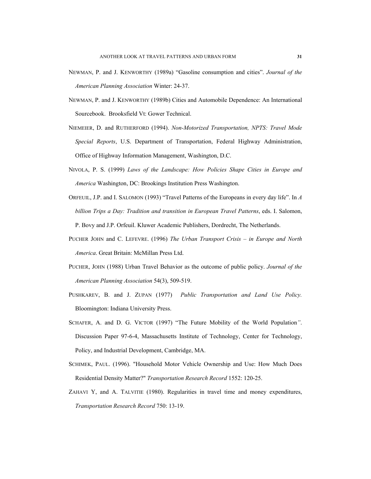- NEWMAN, P. and J. KENWORTHY (1989a) "Gasoline consumption and cities". *Journal of the American Planning Association* Winter: 24-37.
- NEWMAN, P. and J. KENWORTHY (1989b) Cities and Automobile Dependence: An International Sourcebook. Brooksfield Vt: Gower Technical.
- NIEMEIER, D. and RUTHERFORD (1994). *Non-Motorized Transportation, NPTS: Travel Mode Special Reports*, U.S. Department of Transportation, Federal Highway Administration, Office of Highway Information Management, Washington, D.C.
- NIVOLA, P. S. (1999) *Laws of the Landscape: How Policies Shape Cities in Europe and America* Washington, DC: Brookings Institution Press Washington.
- ORFEUIL, J.P. and I. SALOMON (1993) "Travel Patterns of the Europeans in every day life". In *A billion Trips a Day: Tradition and transition in European Travel Patterns*, eds. I. Salomon, P. Bovy and J.P. Orfeuil. Kluwer Academic Publishers, Dordrecht, The Netherlands.
- PUCHER JOHN and C. LEFEVRE. (1996) *The Urban Transport Crisis in Europe and North America*. Great Britain: McMillan Press Ltd.
- PUCHER, JOHN (1988) Urban Travel Behavior as the outcome of public policy. *Journal of the American Planning Association* 54(3), 509-519.
- PUSHKAREV, B. and J. ZUPAN (1977) *Public Transportation and Land Use Policy.* Bloomington: Indiana University Press.
- SCHAFER, A. and D. G. VICTOR (1997) "The Future Mobility of the World Population*"*. Discussion Paper 97-6-4, Massachusetts Institute of Technology, Center for Technology, Policy, and Industrial Development, Cambridge, MA.
- SCHIMEK, PAUL. (1996). "Household Motor Vehicle Ownership and Use: How Much Does Residential Density Matter?" *Transportation Research Record* 1552: 120-25.
- ZAHAVI Y, and A. TALVITIE (1980). Regularities in travel time and money expenditures, *Transportation Research Record* 750: 13-19.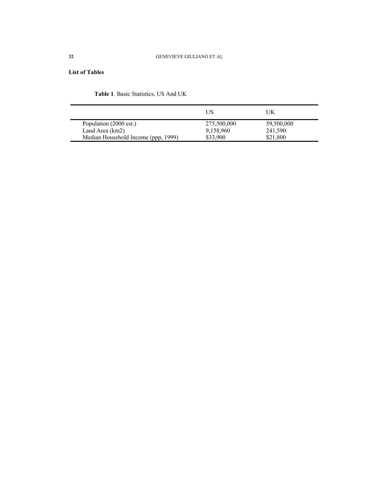# **List of Tables**

| Table 1. Basic Statistics, US And UK |  |  |
|--------------------------------------|--|--|
|--------------------------------------|--|--|

|                                     | US          | UK         |  |
|-------------------------------------|-------------|------------|--|
| Population (2000 est.)              | 275,500,000 | 59,500,000 |  |
| Land Area (km2)                     | 9,158,960   | 241,590    |  |
| Median Household Income (ppp, 1999) | \$33,900    | \$21,800   |  |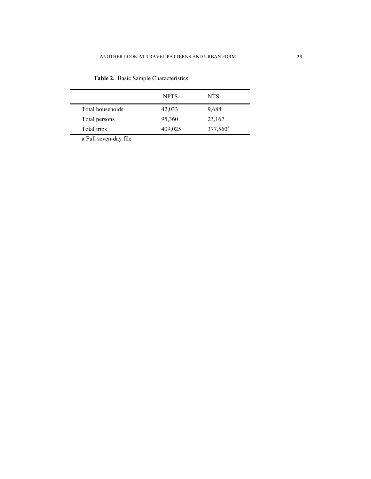|                       | <b>NPTS</b> | <b>NTS</b>  |
|-----------------------|-------------|-------------|
| Total households      | 42,033      | 9,688       |
| Total persons         | 95,360      | 23,167      |
| Total trips           | 409,025     | $377,560^a$ |
| o Eull coven dou filo |             |             |

**Table 2.** Basic Sample Characteristics

a Full seven-day file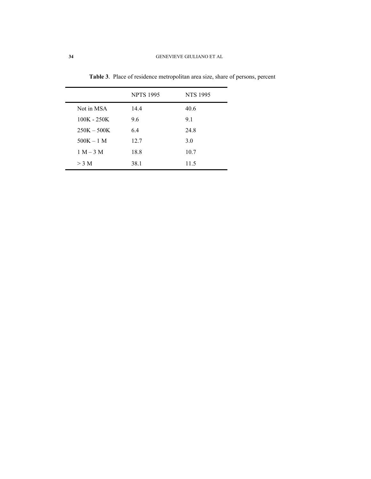|               | <b>NPTS 1995</b> | <b>NTS 1995</b> |
|---------------|------------------|-----------------|
| Not in MSA    | 14.4             | 40.6            |
| $100K - 250K$ | 9.6              | 9.1             |
| $250K - 500K$ | 6.4              | 24.8            |
| $500K - 1$ M  | 12.7             | 3.0             |
| $1 M - 3 M$   | 18.8             | 10.7            |
| $>$ 3 M       | 38.1             | 11.5            |

**Table 3**. Place of residence metropolitan area size, share of persons, percent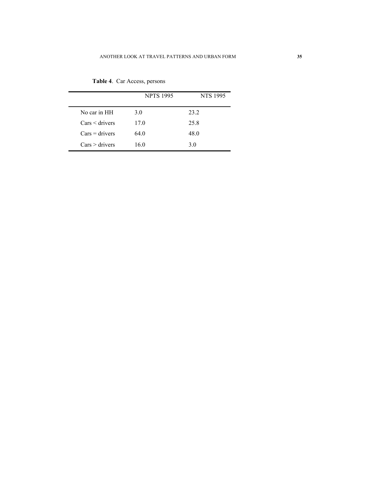|                  | <b>NPTS 1995</b> | <b>NTS 1995</b> |
|------------------|------------------|-----------------|
| No car in HH     | 3.0              | 23.2            |
| $Cars <$ drivers | 17.0             | 25.8            |
| $Cars = drivers$ | 64.0             | 48.0            |
| $Cars >$ drivers | 16.0             | 3.0             |

**Table 4**. Car Access, persons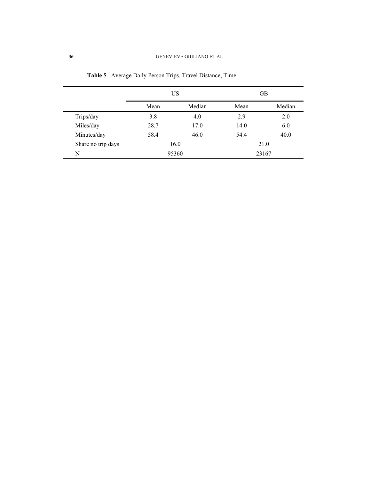|                    | US    |        | <b>GB</b> |        |  |
|--------------------|-------|--------|-----------|--------|--|
|                    | Mean  | Median | Mean      | Median |  |
| Trips/day          | 3.8   | 4.0    | 2.9       | 2.0    |  |
| Miles/day          | 28.7  | 17.0   | 14.0      | 6.0    |  |
| Minutes/day        | 58.4  | 46.0   | 54.4      | 40.0   |  |
| Share no trip days | 16.0  |        | 21.0      |        |  |
| N                  | 95360 |        |           | 23167  |  |

**Table 5**. Average Daily Person Trips, Travel Distance, Time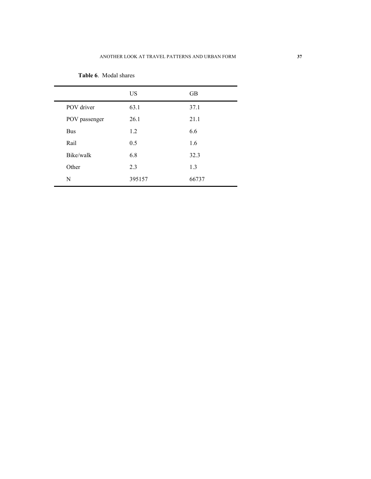|               | <b>US</b> | <b>GB</b> |
|---------------|-----------|-----------|
| POV driver    | 63.1      | 37.1      |
| POV passenger | 26.1      | 21.1      |
| <b>Bus</b>    | 1.2       | 6.6       |
| Rail          | 0.5       | 1.6       |
| Bike/walk     | 6.8       | 32.3      |
| Other         | 2.3       | 1.3       |
| N             | 395157    | 66737     |

**Table 6**. Modal shares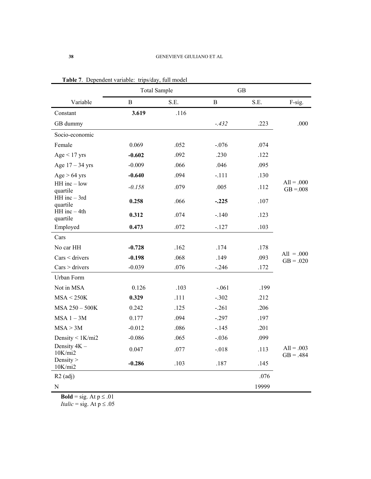|                              | <b>Total Sample</b> |      |              | <b>GB</b> |                             |
|------------------------------|---------------------|------|--------------|-----------|-----------------------------|
| Variable                     | $\mathbf{B}$        | S.E. | $\mathbf{B}$ | S.E.      | F-sig.                      |
| Constant                     | 3.619               | .116 |              |           |                             |
| GB dummy                     |                     |      | $-.432$      | .223      | .000                        |
| Socio-economic               |                     |      |              |           |                             |
| Female                       | 0.069               | .052 | $-.076$      | .074      |                             |
| $Age < 17$ yrs               | $-0.602$            | .092 | .230         | .122      |                             |
| Age $17 - 34$ yrs            | $-0.009$            | .066 | .046         | .095      |                             |
| $Age > 64$ yrs               | $-0.640$            | .094 | $-.111$      | .130      |                             |
| $HH$ inc $-$ low<br>quartile | $-0.158$            | .079 | .005         | .112      | $All = .000$<br>$GB = 008$  |
| HH inc - 3rd<br>quartile     | 0.258               | .066 | $-.225$      | .107      |                             |
| $HH$ inc $-4th$<br>quartile  | 0.312               | .074 | $-.140$      | .123      |                             |
| Employed                     | 0.473               | .072 | $-.127$      | .103      |                             |
| Cars                         |                     |      |              |           |                             |
| No car HH                    | $-0.728$            | .162 | .174         | .178      |                             |
| $Cars <$ drivers             | $-0.198$            | .068 | .149         | .093      | $All = .000$<br>$GB = .020$ |
| $Cars$ > drivers             | $-0.039$            | .076 | $-.246$      | .172      |                             |
| Urban Form                   |                     |      |              |           |                             |
| Not in MSA                   | 0.126               | .103 | $-.061$      | .199      |                             |
| MSA < 250K                   | 0.329               | .111 | $-.302$      | .212      |                             |
| MSA 250 - 500K               | 0.242               | .125 | $-.261$      | .206      |                             |
| $MSA$ 1 - 3M                 | 0.177               | .094 | $-.297$      | .197      |                             |
| MSA > 3M                     | $-0.012$            | .086 | $-.145$      | .201      |                             |
| Density $\leq 1$ K/mi2       | $-0.086$            | .065 | $-.036$      | .099      |                             |
| Density 4K -<br>10K/min2     | 0.047               | .077 | $-.018$      | .113      | $All = .003$<br>$GB = .484$ |
| Density $>$<br>10K/min2      | $-0.286$            | .103 | .187         | .145      |                             |
| $R2$ (adj)                   |                     |      |              | .076      |                             |
| ${\bf N}$                    |                     |      |              | 19999     |                             |

|  |  | Table 7. Dependent variable: trips/day, full model |  |  |
|--|--|----------------------------------------------------|--|--|
|--|--|----------------------------------------------------|--|--|

**Bold** = sig. At  $p \le 0.01$ 

*Italic* = sig. At  $p \le .05$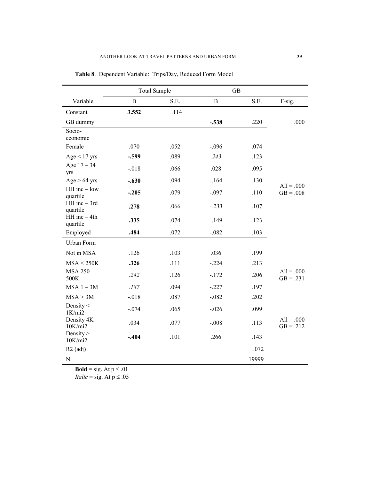|                              | <b>Total Sample</b> |      | <b>GB</b> |       |                             |
|------------------------------|---------------------|------|-----------|-------|-----------------------------|
| Variable                     | $\, {\bf B}$        | S.E. | B         | S.E.  | F-sig.                      |
| Constant                     | 3.552               | .114 |           |       |                             |
| GB dummy                     |                     |      | $-.538$   | .220  | .000                        |
| Socio-<br>economic           |                     |      |           |       |                             |
| Female                       | .070                | .052 | $-.096$   | .074  |                             |
| $Age < 17$ yrs               | $-.599$             | .089 | .243      | .123  |                             |
| Age $17 - 34$<br>yrs         | $-.018$             | .066 | .028      | .095  |                             |
| $Age > 64$ yrs               | $-.630$             | .094 | $-.164$   | .130  | $All = .000$                |
| $HH$ inc $-$ low<br>quartile | $-.205$             | .079 | $-.097$   | .110  | $GB = .008$                 |
| $HH$ inc $-$ 3rd<br>quartile | .278                | .066 | $-.233$   | .107  |                             |
| $HH$ inc $-4th$<br>quartile  | .335                | .074 | $-.149$   | .123  |                             |
| Employed                     | .484                | .072 | $-.082$   | .103  |                             |
| Urban Form                   |                     |      |           |       |                             |
| Not in MSA                   | .126                | .103 | .036      | .199  |                             |
| MSA < 250K                   | .326                | .111 | $-.224$   | .213  |                             |
| MSA 250-<br>500K             | .242                | .126 | $-172$    | .206  | $All = .000$<br>$GB = .231$ |
| $MSA$ 1 - 3M                 | .187                | .094 | $-.227$   | .197  |                             |
| MSA > 3M                     | $-.018$             | .087 | $-.082$   | .202  |                             |
| Density $<$<br>1K/min2       | $-.074$             | .065 | $-.026$   | .099  |                             |
| Density 4K -<br>10K/min2     | .034                | .077 | $-.008$   | .113  | $All = .000$<br>$GB = .212$ |
| Density $>$<br>10K/min2      | $-.404$             | .101 | .266      | .143  |                             |
| $R2$ (adj)                   |                     |      |           | .072  |                             |
| ${\bf N}$                    |                     |      |           | 19999 |                             |

**Table 8**. Dependent Variable: Trips/Day, Reduced Form Model

**Bold** = sig. At  $p \le 0.01$ *Italic* = sig. At  $p \le .05$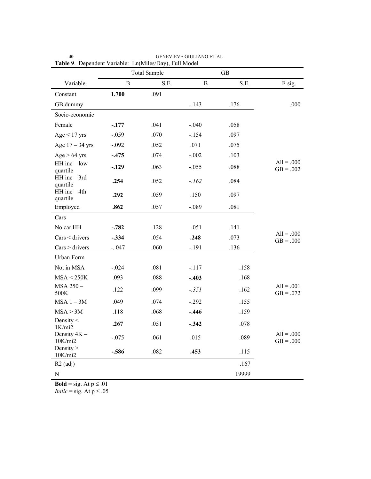| www.                         | <b>GB</b><br><b>Total Sample</b> |      |             |       |                             |
|------------------------------|----------------------------------|------|-------------|-------|-----------------------------|
| Variable                     | $\, {\bf B}$                     | S.E. | $\mathbf B$ | S.E.  | F-sig.                      |
| Constant                     | 1.700                            | .091 |             |       |                             |
| GB dummy                     |                                  |      | $-.143$     | .176  | .000                        |
| Socio-economic               |                                  |      |             |       |                             |
| Female                       | $-.177$                          | .041 | $-.040$     | .058  |                             |
| $Age < 17$ yrs               | $-.059$                          | .070 | $-.154$     | .097  |                             |
| Age $17 - 34$ yrs            | $-.092$                          | .052 | .071        | .075  |                             |
| $Age > 64$ yrs               | $-.475$                          | .074 | $-.002$     | .103  |                             |
| $HH$ inc $-$ low<br>quartile | $-.129$                          | .063 | $-.055$     | .088  | $All = .000$<br>$GB = .002$ |
| HH inc - 3rd<br>quartile     | .254                             | .052 | $-.162$     | .084  |                             |
| $HH$ inc $-4th$<br>quartile  | .292                             | .059 | .150        | .097  |                             |
| Employed                     | .862                             | .057 | $-.089$     | .081  |                             |
| Cars                         |                                  |      |             |       |                             |
| No car HH                    | $-.782$                          | .128 | $-.051$     | .141  |                             |
| $Cars <$ drivers             | $-.334$                          | .054 | .248        | .073  | $All = .000$<br>$GB = .000$ |
| $Cars$ > drivers             | $-.047$                          | .060 | $-.191$     | .136  |                             |
| Urban Form                   |                                  |      |             |       |                             |
| Not in MSA                   | $-.024$                          | .081 | $-.117$     | .158  |                             |
| MSA < 250K                   | .093                             | .088 | $-.403$     | .168  |                             |
| MSA 250-<br>500K             | .122                             | .099 | $-.351$     | .162  | $All = .001$<br>$GB = .072$ |
| $MSA 1 - 3M$                 | .049                             | .074 | $-.292$     | .155  |                             |
| MSA > 3M                     | .118                             | .068 | $-.446$     | .159  |                             |
| Density $<$<br>1K/min2       | .267                             | .051 | $-342$      | .078  |                             |
| Density 4K -<br>10K/min2     | $-.075$                          | .061 | .015        | .089  | $All = .000$<br>$GB = .000$ |
| Density $>$<br>10K/min2      | $-.586$                          | .082 | .453        | .115  |                             |
| $R2$ (adj)                   |                                  |      |             | .167  |                             |
| $\mathbf N$                  |                                  |      |             | 19999 |                             |

**40** GENEVIEVE GIULIANO ET AL **Table 9**. Dependent Variable: Ln(Miles/Day), Full Model

**Bold** = sig. At  $p \le 0.01$ 

*Italic* = sig. At  $p \le .05$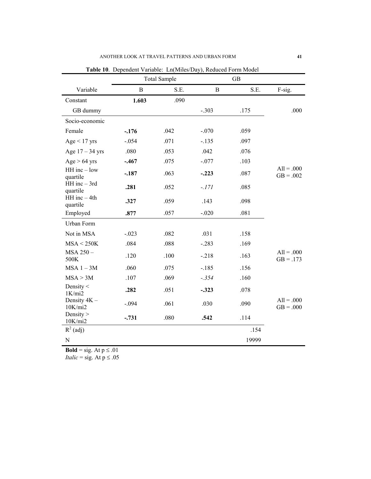|                              | <b>Total Sample</b> |      | <b>GB</b> |       |                             |
|------------------------------|---------------------|------|-----------|-------|-----------------------------|
| Variable                     | $\bf{B}$            | S.E. | B         | S.E.  | F-sig.                      |
| Constant                     | 1.603               | .090 |           |       |                             |
| GB dummy                     |                     |      | $-.303$   | .175  | .000                        |
| Socio-economic               |                     |      |           |       |                             |
| Female                       | $-176$              | .042 | $-.070$   | .059  |                             |
| $Age < 17$ yrs               | $-.054$             | .071 | $-.135$   | .097  |                             |
| Age $17 - 34$ yrs            | .080                | .053 | .042      | .076  |                             |
| $Age > 64$ yrs               | $-.467$             | .075 | $-.077$   | .103  |                             |
| $HH$ inc $-$ low<br>quartile | $-.187$             | .063 | $-.223$   | .087  | $All = .000$<br>$GB = .002$ |
| $HH$ inc $-$ 3rd<br>quartile | .281                | .052 | $-.171$   | .085  |                             |
| $HH$ inc $-4th$<br>quartile  | .327                | .059 | .143      | .098  |                             |
| Employed                     | .877                | .057 | $-.020$   | .081  |                             |
| Urban Form                   |                     |      |           |       |                             |
| Not in MSA                   | $-.023$             | .082 | .031      | .158  |                             |
| MSA < 250K                   | .084                | .088 | $-.283$   | .169  |                             |
| MSA 250-<br>500K             | .120                | .100 | $-.218$   | .163  | $All = .000$<br>$GB = .173$ |
| $MSA$ 1 - 3M                 | .060                | .075 | $-.185$   | .156  |                             |
| MSA > 3M                     | .107                | .069 | $-.354$   | .160  |                             |
| Density $<$<br>1K/min2       | .282                | .051 | $-.323$   | .078  |                             |
| Density 4K -<br>10K/min2     | $-.094$             | .061 | .030      | .090  | $All = .000$<br>$GB = .000$ |
| Density $>$<br>10K/min2      | $-.731$             | .080 | .542      | .114  |                             |
| $R^2$ (adj)                  |                     |      |           | .154  |                             |
| $\mathbf N$                  |                     |      |           | 19999 |                             |

**Table 10**. Dependent Variable: Ln(Miles/Day), Reduced Form Model

**Bold** = sig. At  $p \le 0.01$ *Italic* = sig. At  $p \le .05$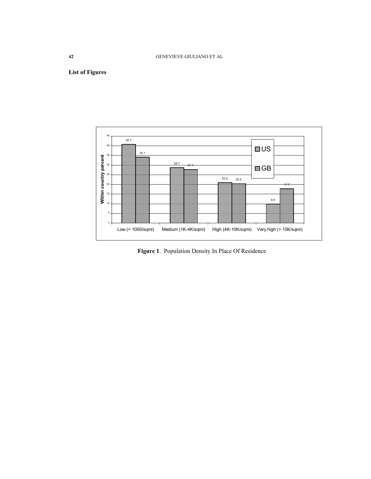# **List of Figures**



**Figure 1**. Population Density In Place Of Residence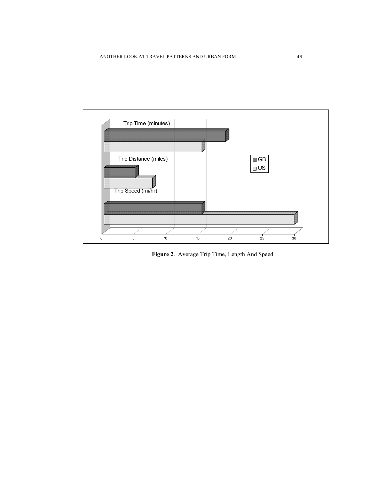

**Figure 2**. Average Trip Time, Length And Speed